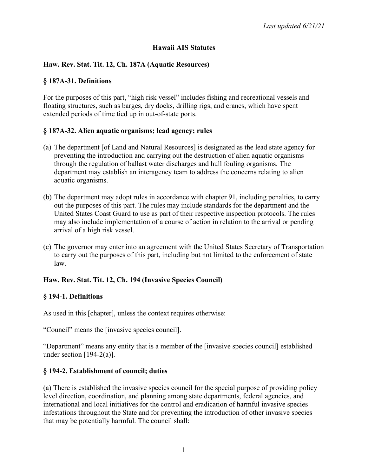### **Hawaii AIS Statutes**

### **Haw. Rev. Stat. Tit. 12, Ch. 187A (Aquatic Resources)**

#### **§ 187A-31. Definitions**

For the purposes of this part, "high risk vessel" includes fishing and recreational vessels and floating structures, such as barges, dry docks, drilling rigs, and cranes, which have spent extended periods of time tied up in out-of-state ports.

### **§ 187A-32. Alien aquatic organisms; lead agency; rules**

- (a) The department [of Land and Natural Resources] is designated as the lead state agency for preventing the introduction and carrying out the destruction of alien aquatic organisms through the regulation of ballast water discharges and hull fouling organisms. The department may establish an interagency team to address the concerns relating to alien aquatic organisms.
- (b) The department may adopt rules in accordance with chapter 91, including penalties, to carry out the purposes of this part. The rules may include standards for the department and the United States Coast Guard to use as part of their respective inspection protocols. The rules may also include implementation of a course of action in relation to the arrival or pending arrival of a high risk vessel.
- (c) The governor may enter into an agreement with the United States Secretary of Transportation to carry out the purposes of this part, including but not limited to the enforcement of state law.

## **Haw. Rev. Stat. Tit. 12, Ch. 194 (Invasive Species Council)**

#### **§ 194-1. Definitions**

As used in this [chapter], unless the context requires otherwise:

"Council" means the [invasive species council].

"Department" means any entity that is a member of the [invasive species council] established under section  $[194-2(a)]$ .

#### **§ 194-2. Establishment of council; duties**

(a) There is established the invasive species council for the special purpose of providing policy level direction, coordination, and planning among state departments, federal agencies, and international and local initiatives for the control and eradication of harmful invasive species infestations throughout the State and for preventing the introduction of other invasive species that may be potentially harmful. The council shall: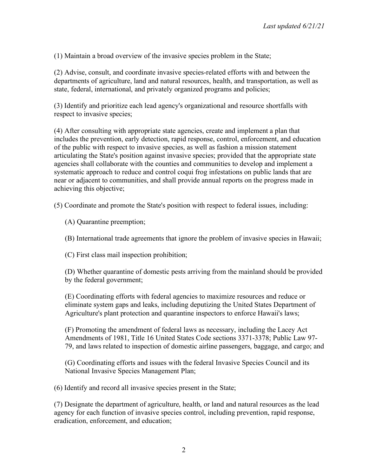(1) Maintain a broad overview of the invasive species problem in the State;

(2) Advise, consult, and coordinate invasive species-related efforts with and between the departments of agriculture, land and natural resources, health, and transportation, as well as state, federal, international, and privately organized programs and policies;

(3) Identify and prioritize each lead agency's organizational and resource shortfalls with respect to invasive species;

(4) After consulting with appropriate state agencies, create and implement a plan that includes the prevention, early detection, rapid response, control, enforcement, and education of the public with respect to invasive species, as well as fashion a mission statement articulating the State's position against invasive species; provided that the appropriate state agencies shall collaborate with the counties and communities to develop and implement a systematic approach to reduce and control coqui frog infestations on public lands that are near or adjacent to communities, and shall provide annual reports on the progress made in achieving this objective;

(5) Coordinate and promote the State's position with respect to federal issues, including:

- (A) Quarantine preemption;
- (B) International trade agreements that ignore the problem of invasive species in Hawaii;
- (C) First class mail inspection prohibition;

(D) Whether quarantine of domestic pests arriving from the mainland should be provided by the federal government;

(E) Coordinating efforts with federal agencies to maximize resources and reduce or eliminate system gaps and leaks, including deputizing the United States Department of Agriculture's plant protection and quarantine inspectors to enforce Hawaii's laws;

(F) Promoting the amendment of federal laws as necessary, including the Lacey Act Amendments of 1981, Title 16 United States Code sections 3371-3378; Public Law 97- 79, and laws related to inspection of domestic airline passengers, baggage, and cargo; and

(G) Coordinating efforts and issues with the federal Invasive Species Council and its National Invasive Species Management Plan;

(6) Identify and record all invasive species present in the State;

(7) Designate the department of agriculture, health, or land and natural resources as the lead agency for each function of invasive species control, including prevention, rapid response, eradication, enforcement, and education;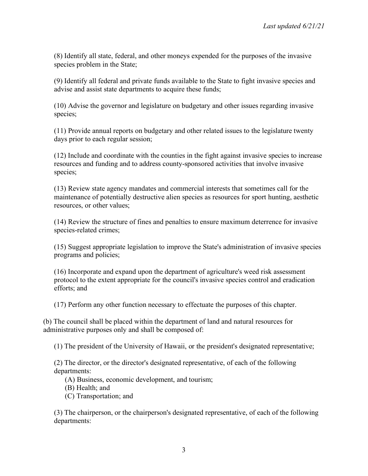(8) Identify all state, federal, and other moneys expended for the purposes of the invasive species problem in the State;

(9) Identify all federal and private funds available to the State to fight invasive species and advise and assist state departments to acquire these funds;

(10) Advise the governor and legislature on budgetary and other issues regarding invasive species;

(11) Provide annual reports on budgetary and other related issues to the legislature twenty days prior to each regular session;

(12) Include and coordinate with the counties in the fight against invasive species to increase resources and funding and to address county-sponsored activities that involve invasive species;

(13) Review state agency mandates and commercial interests that sometimes call for the maintenance of potentially destructive alien species as resources for sport hunting, aesthetic resources, or other values;

(14) Review the structure of fines and penalties to ensure maximum deterrence for invasive species-related crimes;

(15) Suggest appropriate legislation to improve the State's administration of invasive species programs and policies;

(16) Incorporate and expand upon the department of agriculture's weed risk assessment protocol to the extent appropriate for the council's invasive species control and eradication efforts; and

(17) Perform any other function necessary to effectuate the purposes of this chapter.

(b) The council shall be placed within the department of land and natural resources for administrative purposes only and shall be composed of:

(1) The president of the University of Hawaii, or the president's designated representative;

(2) The director, or the director's designated representative, of each of the following departments:

(A) Business, economic development, and tourism;

(B) Health; and

(C) Transportation; and

(3) The chairperson, or the chairperson's designated representative, of each of the following departments: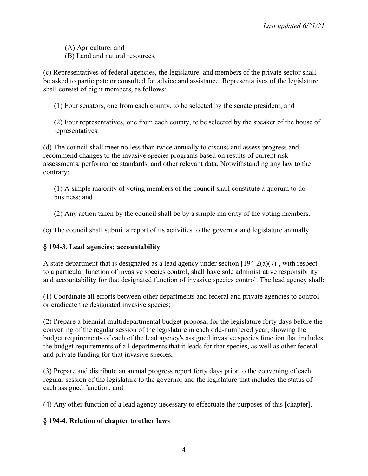(A) Agriculture; and (B) Land and natural resources.

(c) Representatives of federal agencies, the legislature, and members of the private sector shall be asked to participate or consulted for advice and assistance. Representatives of the legislature shall consist of eight members, as follows:

(1) Four senators, one from each county, to be selected by the senate president; and

(2) Four representatives, one from each county, to be selected by the speaker of the house of representatives.

(d) The council shall meet no less than twice annually to discuss and assess progress and recommend changes to the invasive species programs based on results of current risk assessments, performance standards, and other relevant data. Notwithstanding any law to the contrary:

(1) A simple majority of voting members of the council shall constitute a quorum to do business; and

(2) Any action taken by the council shall be by a simple majority of the voting members.

(e) The council shall submit a report of its activities to the governor and legislature annually.

## **§ 194-3. Lead agencies; accountability**

A state department that is designated as a lead agency under section  $[194-2(a)(7)]$ , with respect to a particular function of invasive species control, shall have sole administrative responsibility and accountability for that designated function of invasive species control. The lead agency shall:

(1) Coordinate all efforts between other departments and federal and private agencies to control or eradicate the designated invasive species;

(2) Prepare a biennial multidepartmental budget proposal for the legislature forty days before the convening of the regular session of the legislature in each odd-numbered year, showing the budget requirements of each of the lead agency's assigned invasive species function that includes the budget requirements of all departments that it leads for that species, as well as other federal and private funding for that invasive species;

(3) Prepare and distribute an annual progress report forty days prior to the convening of each regular session of the legislature to the governor and the legislature that includes the status of each assigned function; and

(4) Any other function of a lead agency necessary to effectuate the purposes of this [chapter].

## **§ 194-4. Relation of chapter to other laws**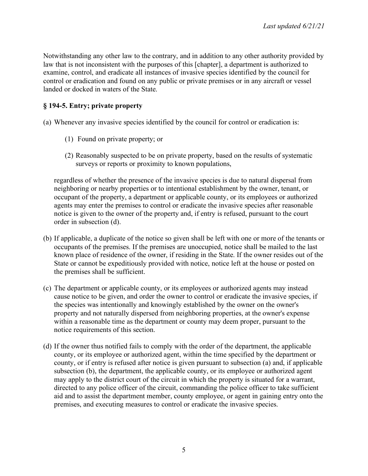Notwithstanding any other law to the contrary, and in addition to any other authority provided by law that is not inconsistent with the purposes of this [chapter], a department is authorized to examine, control, and eradicate all instances of invasive species identified by the council for control or eradication and found on any public or private premises or in any aircraft or vessel landed or docked in waters of the State.

# **§ 194-5. Entry; private property**

(a) Whenever any invasive species identified by the council for control or eradication is:

- (1) Found on private property; or
- (2) Reasonably suspected to be on private property, based on the results of systematic surveys or reports or proximity to known populations,

regardless of whether the presence of the invasive species is due to natural dispersal from neighboring or nearby properties or to intentional establishment by the owner, tenant, or occupant of the property, a department or applicable county, or its employees or authorized agents may enter the premises to control or eradicate the invasive species after reasonable notice is given to the owner of the property and, if entry is refused, pursuant to the court order in subsection (d).

- (b) If applicable, a duplicate of the notice so given shall be left with one or more of the tenants or occupants of the premises. If the premises are unoccupied, notice shall be mailed to the last known place of residence of the owner, if residing in the State. If the owner resides out of the State or cannot be expeditiously provided with notice, notice left at the house or posted on the premises shall be sufficient.
- (c) The department or applicable county, or its employees or authorized agents may instead cause notice to be given, and order the owner to control or eradicate the invasive species, if the species was intentionally and knowingly established by the owner on the owner's property and not naturally dispersed from neighboring properties, at the owner's expense within a reasonable time as the department or county may deem proper, pursuant to the notice requirements of this section.
- (d) If the owner thus notified fails to comply with the order of the department, the applicable county, or its employee or authorized agent, within the time specified by the department or county, or if entry is refused after notice is given pursuant to subsection (a) and, if applicable subsection (b), the department, the applicable county, or its employee or authorized agent may apply to the district court of the circuit in which the property is situated for a warrant, directed to any police officer of the circuit, commanding the police officer to take sufficient aid and to assist the department member, county employee, or agent in gaining entry onto the premises, and executing measures to control or eradicate the invasive species.